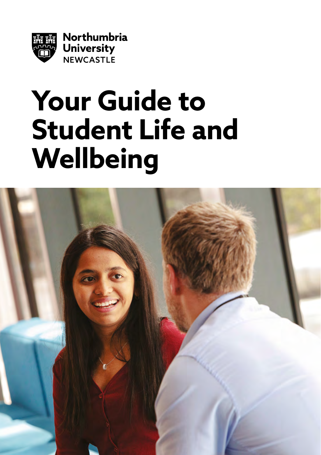

# **Your Guide to Student Life and Wellbeing**

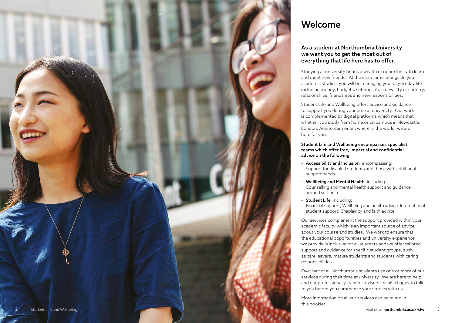

## Welcome

### As a student at Northumbria University we want you to get the most out of everything that life here has to offer.

Studying at university brings a wealth of opportunity to learn and meet new friends. At the same time, alongside your academic studies, you will be managing your day-to-day life including money, budgets, settling into a new city or country, relationships, friendships and new responsibilities.

Student Life and Wellbeing offers advice and guidance to support you during your time at university. Our work is complemented by digital platforms which means that whether you study from home or on campus in Newcastle, London, Amsterdam or anywhere in the world, we are here for you.

### Student Life and Wellbeing encompasses specialist teams which offer free, impartial and confidential advice on the following:

- Accessibility and Inclusion, encompassing: Support for disabled students and those with additional support needs
- Wellbeing and Mental Health, including: Counselling and mental health support and guidance around self-help
- Student Life, including: Financial support; Wellbeing and health advice; International student support; Chaplaincy and faith advice

Our services complement the support provided within your academic faculty which is an important source of advice about your course and studies. We work to ensure that the educational opportunities and university experience we provide is inclusive for all students and we offer tailored support and guidance for specific student groups, such as care leavers, mature students and students with caring responsibilities.

Over half of all Northumbria students use one or more of our services during their time at university. We are here to help, and our professionally trained advisers are also happy to talk to you before you commence your studies with us.

More information on all our services can be found in this booklet.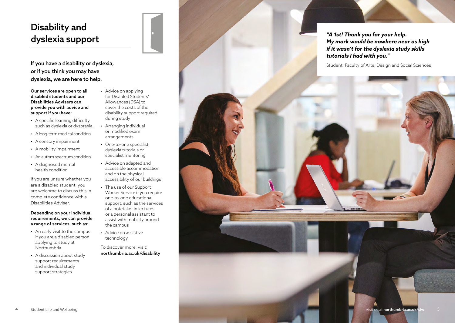# Disability and dyslexia support

If you have a disability or dyslexia, or if you think you may have dyslexia, we are here to help.

Our services are open to all disabled students and our Disabilities Advisers can provide you with advice and support if you have:

- A specific learning difficulty such as dyslexia or dyspraxia
- A long-term medical condition
- A sensory impairment
- 
- A mobility impairment An autism spectrum condition
- A diagnosed mental health condition

If you are unsure whether you are a disabled student, you are welcome to discuss this in complete confidence with a Disabilities Adviser.

### Depending on your individual requirements, we can provide a range of services, such as:

- An early visit to the campus if you are a disabled person applying to study at Northumbria
- A discussion about study support requirements and individual study support strategies
- Advice on applying for Disabled Students' Allowances (DSA) to cover the costs of the disability support required during study
- Arranging individual or modified exam arrangements
- One-to-one specialist dyslexia tutorials or specialist mentoring
- Advice on adapted and accessible accommodation and on the physical accessibility of our buildings
- The use of our Support Worker Service if you require one-to-one educational support, such as the services of a notetaker in lectures or a personal assistant to assist with mobility around the campus
- Advice on assistive technology

To discover more, visit: [northumbria.ac.uk/disability](http://northumbria.ac.uk/disability)

*"A 1st! Thank you for your help. My mark would be nowhere near as high if it wasn't for the dyslexia study skills tutorials I had with you."*

Student, Faculty of Arts, Design and Social Sciences

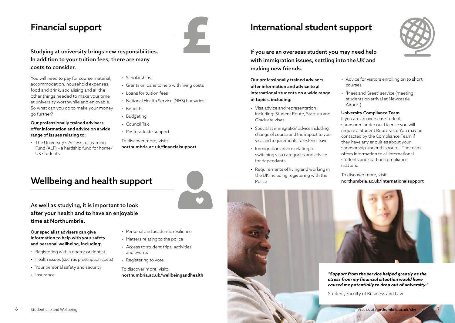# Financial support



### Studying at university brings new responsibilities. In addition to your tuition fees, there are many costs to consider.

You will need to pay for course material, accommodation, household expenses, food and drink, socialising and all the other things needed to make your time at university worthwhile and enjoyable. So what can you do to make your money go further?

### Our professionally trained advisers offer information and advice on a wide range of issues relating to:

• The University's Access to Learning Fund (ALF) – a hardship fund for home/ UK students

- Scholarships
- Grants or loans to help with living costs
- Loans for tuition fees
- National Health Service (NHS) bursaries
- Benefits
- Budgeting
- Council Tax
- Postgraduate support

To discover more, visit: [northumbria.ac.uk/financialsupport](http://northumbria.ac.uk/financialsupport)

# Wellbeing and health support

As well as studying, it is important to look after your health and to have an enjoyable time at Northumbria.

### Our specialist advisers can give information to help with your safety and personal wellbeing, including:

- Registering with a doctor or dentist
- Health issues (such as prescription costs)
- Your personal safety and security
- Insurance
- Personal and academic resilience
- Matters relating to the police
- Access to student trips, activities and events
- Registering to vote
- To discover more, visit: [northumbria.ac.uk/wellbeingandhealth](http://northumbria.ac.uk/wellbeingandhealth)

# International student support



If you are an overseas student you may need help with immigration issues, settling into the UK and making new friends.

Our professionally trained advisers offer information and advice to all international students on a wide range of topics, including:

- Visa advice and representation including: Student Route, Start up and Graduate visas
- Specialist immigration advice including: change of course and the impact to your visa and requirements to extend leave
- Immigration advice relating to switching visa categories and advice for dependants
- Requirements of living and working in the UK including registering with the Police

### • Advice for visitors enrolling on to short courses

• 'Meet and Greet' service (meeting students on arrival at Newcastle Airport)

### University Compliance Team

If you are an overseas student sponsored under our Licence you will require a Student Route visa. You may be contacted by the Compliance Team if they have any enquiries about your sponsorship under this route. The team offers information to all international students and staff on compliance matters.

To discover more, visit: [northumbria.ac.uk/internationalsupport](http://northumbria.ac.uk/internationalsupport)



*"Support from the service helped greatly as the stress from my financial situation would have caused me potentially to drop out of university."*

Student, Faculty of Business and Law

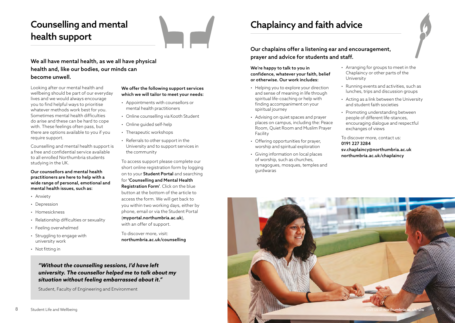# Counselling and mental health support

### We all have mental health, as we all have physical health and, like our bodies, our minds can become unwell.

Looking after our mental health and wellbeing should be part of our everyday lives and we would always encourage you to find helpful ways to prioritise whatever methods work best for you. Sometimes mental health difficulties do arise and these can be hard to cope with. These feelings often pass, but there are options available to you if you require support.

Counselling and mental health support is a free and confidential service available to all enrolled Northumbria students studying in the UK.

Our counsellors and mental health practitioners are here to help with a wide range of personal, emotional and mental health issues, such as:

- Anxiety
- Depression
- Homesickness
- Relationship difficulties or sexuality
- Feeling overwhelmed
- Struggling to engage with university work
- Not fitting in

### We offer the following support services which we will tailor to meet your needs:

- Appointments with counsellors or mental health practitioners
- Online counselling via Kooth Student
- Online guided self-help
- Therapeutic workshops
- Referrals to other support in the
- University and to support services in the community

To access support please complete our short online registration form by logging on to your **[Student Portal](https://myportal.northumbria.ac.uk/)** and searching for 'Counselling and Mental Health Registration Form'. Click on the blue button at the bottom of the article to access the form. We will get back to you within two working days, either by phone, email or via the Student Portal ([myportal.northumbria.ac.uk](http://myportal.northumbria.ac.uk)), with an offer of support.

To discover more, visit: [northumbria.ac.uk/counselling](http://northumbria.ac.uk/counselling)

*"Without the counselling sessions, I'd have left university. The counsellor helped me to talk about my situation without feeling embarrassed about it."*

Student, Faculty of Engineering and Environment

# Chaplaincy and faith advice

Our chaplains offer a listening ear and encouragement, prayer and advice for students and staff.

### We're happy to talk to you in confidence, whatever your faith, belief or otherwise. Our work includes:

- Helping you to explore your direction and sense of meaning in life through spiritual life-coaching or help with finding accompaniment on your spiritual journey
- Advising on quiet spaces and prayer places on campus, including the: Peace Room, Quiet Room and Muslim Prayer Facility
- Offering opportunities for prayer, worship and spiritual exploration
- Giving information on local places of worship, such as churches, synagogues, mosques, temples and gurdwaras
- Arranging for groups to meet in the Chaplaincy or other parts of the University
- Running events and activities, such as lunches, trips and discussion groups
- Acting as a link between the University and student faith societies
- Promoting understanding between people of different life-stances, encouraging dialogue and respectful exchanges of views

To discover more, contact us: 0191 227 3284 [sv.chaplaincy@northumbria.ac.uk](mailto:sv.chaplaincy@northumbria.ac.uk) [northumbria.ac.uk/chaplaincy](http://northumbria.ac.uk/chaplaincy)

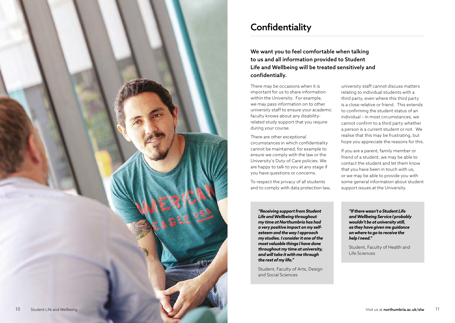

# **Confidentiality**

We want you to feel comfortable when talking to us and all information provided to Student Life and Wellbeing will be treated sensitively and confidentially.

There may be occasions when it is important for us to share information within the University. For example, we may pass information on to other university staff to ensure your academic faculty knows about any disabilityrelated study support that you require during your course.

There are other exceptional circumstances in which confidentiality cannot be maintained, for example to ensure we comply with the law or the University's Duty of Care policies. We are happy to talk to you at any stage if you have questions or concerns.

To respect the privacy of all students and to comply with data protection law,

university staff cannot discuss matters relating to individual students with a third party, even where this third party is a close relative or friend. This extends to confirming the student status of an individual – in most circumstances, we cannot confirm to a third party whether a person is a current student or not. We realise that this may be frustrating, but hope you appreciate the reasons for this.

If you are a parent, family member or friend of a student, we may be able to contact the student and let them know that you have been in touch with us, or we may be able to provide you with some general information about student support issues at the University.

*"Receiving support from Student Life and Wellbeing throughout my time at Northumbria has had a very positive impact on my selfesteem and the way I approach my studies. I consider it one of the most valuable things I have done throughout my time at university, and will take it with me through the rest of my life."*

Student, Faculty of Arts, Design and Social Sciences

*"If there wasn't a Student Life and Wellbeing Service I probably wouldn't be at university still, as they have given me guidance on where to go to receive the help I need."*

Student, Faculty of Health and Life Sciences